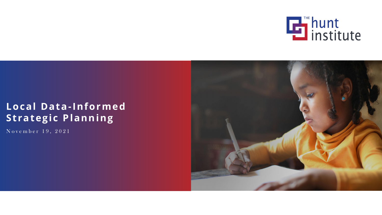

#### **Local Data-Informed Strategic Planning**

November 19, 2021

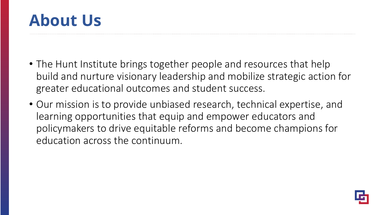## **About Us**

- The Hunt Institute brings together people and resources that help build and nurture visionary leadership and mobilize strategic action for greater educational outcomes and student success.
- Our mission is to provide unbiased research, technical expertise, and learning opportunities that equip and empower educators and policymakers to drive equitable reforms and become champions for education across the continuum.

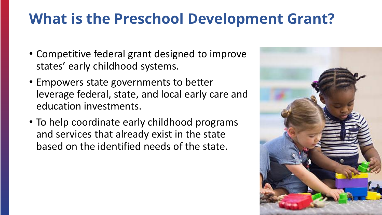## **What is the Preschool Development Grant?**

- Competitive federal grant designed to improve states' early childhood systems.
- Empowers state governments to better leverage federal, state, and local early care and education investments.
- To help coordinate early childhood programs and services that already exist in the state based on the identified needs of the state.

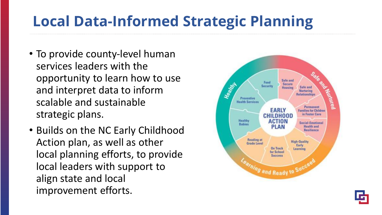## **Local Data-Informed Strategic Planning**

- To provide county-level human services leaders with the opportunity to learn how to use and interpret data to inform scalable and sustainable strategic plans.
- Builds on the NC Early Childhood Action plan, as well as other local planning efforts, to provide local leaders with support to align state and local improvement efforts.



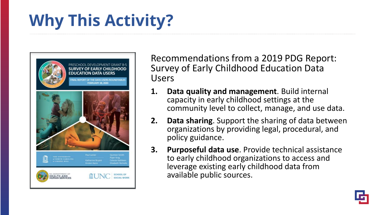# **Why This Activity?**



Recommendations from a 2019 PDG Report: Survey of Early Childhood Education Data Users

- **1. Data quality and management**. Build internal capacity in early childhood settings at the community level to collect, manage, and use data.
- **2. Data sharing**. Support the sharing of data between organizations by providing legal, procedural, and policy guidance.
- **3. Purposeful data use**. Provide technical assistance to early childhood organizations to access and leverage existing early childhood data from available public sources.

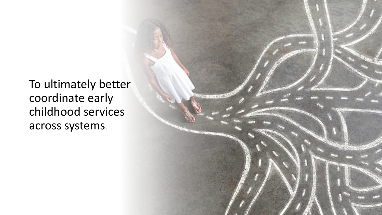To ultimately better coordinate early childhood services across systems.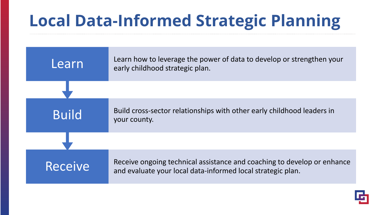# **Local Data-Informed Strategic Planning**

| Learn        | Learn how to leverage the power of data to develop or strengthen your<br>early childhood strategic plan.                               |  |  |  |  |  |
|--------------|----------------------------------------------------------------------------------------------------------------------------------------|--|--|--|--|--|
|              |                                                                                                                                        |  |  |  |  |  |
| <b>Build</b> | Build cross-sector relationships with other early childhood leaders in<br>your county.                                                 |  |  |  |  |  |
|              |                                                                                                                                        |  |  |  |  |  |
| Receive      | Receive ongoing technical assistance and coaching to develop or enhance<br>and evaluate your local data-informed local strategic plan. |  |  |  |  |  |

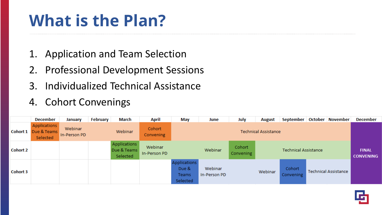## **What is the Plan?**

- 1. Application and Team Selection
- 2. Professional Development Sessions
- 3. Individualized Technical Assistance
- 4. Cohort Convenings

|                 | <b>December</b>                                | January                 | February | March                                   | April                      | May                                               | June                    | July                | <b>August</b>               | <b>September</b>           |  | October November                 | <b>December</b> |
|-----------------|------------------------------------------------|-------------------------|----------|-----------------------------------------|----------------------------|---------------------------------------------------|-------------------------|---------------------|-----------------------------|----------------------------|--|----------------------------------|-----------------|
| <b>Cohort 1</b> | <b>Applications</b><br>Due & Teams<br>Selected | Webinar<br>In-Person PD |          | Webinar                                 | Cohort<br><b>Convening</b> |                                                   |                         |                     | <b>Technical Assistance</b> |                            |  |                                  |                 |
| <b>Cohort 2</b> |                                                |                         |          | Applications<br>Due & Teams<br>Selected | Webinar<br>In-Person PD    |                                                   | Webinar                 | Cohort<br>Convening | <b>Technical Assistance</b> |                            |  | <b>FINAL</b><br><b>CONVENING</b> |                 |
| Cohort 3        |                                                |                         |          |                                         |                            | Applications<br>Due &<br><b>Teams</b><br>Selected | Webinar<br>In-Person PD |                     | Webinar                     | Cohort<br><b>Convening</b> |  | <b>Technical Assistance</b>      |                 |

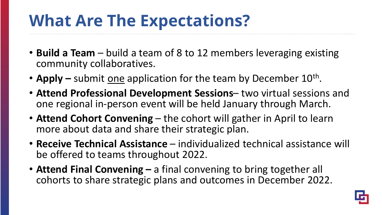## **What Are The Expectations?**

- **Build a Team**  build a team of 8 to 12 members leveraging existing community collaboratives.
- Apply submit one application for the team by December 10<sup>th</sup>.
- **Attend Professional Development Sessions** two virtual sessions and one regional in-person event will be held January through March.
- **Attend Cohort Convening**  the cohort will gather in April to learn more about data and share their strategic plan.
- **Receive Technical Assistance**  individualized technical assistance will be offered to teams throughout 2022.
- **Attend Final Convening –** a final convening to bring together all cohorts to share strategic plans and outcomes in December 2022.

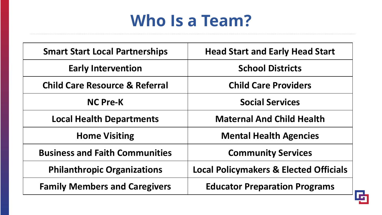## **Who Is a Team?**

| <b>Smart Start Local Partnerships</b>     | <b>Head Start and Early Head Start</b>            |  |  |  |  |
|-------------------------------------------|---------------------------------------------------|--|--|--|--|
| <b>Early Intervention</b>                 | <b>School Districts</b>                           |  |  |  |  |
| <b>Child Care Resource &amp; Referral</b> | <b>Child Care Providers</b>                       |  |  |  |  |
| <b>NC Pre-K</b>                           | <b>Social Services</b>                            |  |  |  |  |
| <b>Local Health Departments</b>           | <b>Maternal And Child Health</b>                  |  |  |  |  |
| <b>Home Visiting</b>                      | <b>Mental Health Agencies</b>                     |  |  |  |  |
| <b>Business and Faith Communities</b>     | <b>Community Services</b>                         |  |  |  |  |
| <b>Philanthropic Organizations</b>        | <b>Local Policymakers &amp; Elected Officials</b> |  |  |  |  |
| <b>Family Members and Caregivers</b>      | <b>Educator Preparation Programs</b>              |  |  |  |  |

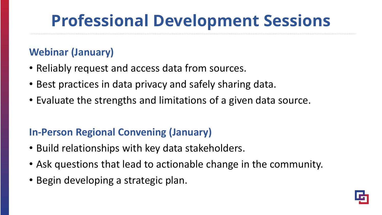# **Professional Development Sessions**

#### **Webinar (January)**

- Reliably request and access data from sources.
- Best practices in data privacy and safely sharing data.
- Evaluate the strengths and limitations of a given data source.

#### **In-Person Regional Convening (January)**

- Build relationships with key data stakeholders.
- Ask questions that lead to actionable change in the community.
- Begin developing a strategic plan.

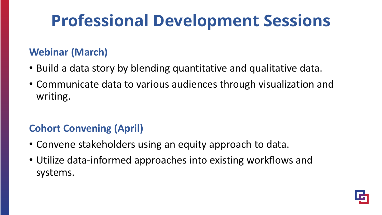# **Professional Development Sessions**

#### **Webinar (March)**

- Build a data story by blending quantitative and qualitative data.
- Communicate data to various audiences through visualization and writing.

#### **Cohort Convening (April)**

- Convene stakeholders using an equity approach to data.
- Utilize data-informed approaches into existing workflows and systems.

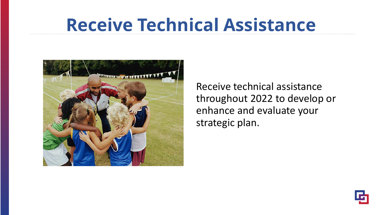# **Receive Technical Assistance**



Receive technical assistance throughout 2022 to develop or enhance and evaluate your strategic plan.

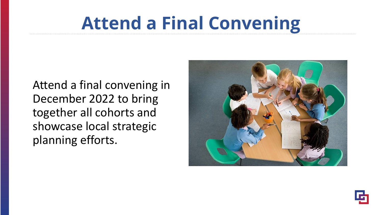# **Attend a Final Convening**

Attend a final convening in December 2022 to bring together all cohorts and showcase local strategic planning efforts.



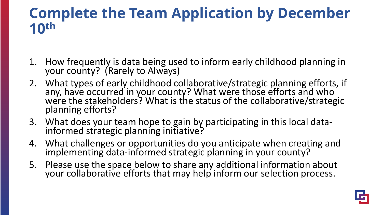### **Complete the Team Application by December 10th**

- 1. How frequently is data being used to inform early childhood planning in your county? (Rarely to Always)
- 2. What types of early childhood collaborative/strategic planning efforts, if any, have occurred in your county? What were those efforts and who were the stakeholders? What is the status of the collaborative/strategic planning efforts?
- 3. What does your team hope to gain by participating in this local datainformed strategic planning initiative?
- 4. What challenges or opportunities do you anticipate when creating and implementing data-informed strategic planning in your county?
- 5. Please use the space below to share any additional information about your collaborative efforts that may help inform our selection process.

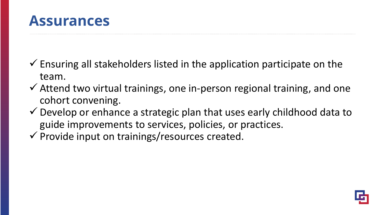### **Assurances**

- $\checkmark$  Ensuring all stakeholders listed in the application participate on the team.
- $\checkmark$  Attend two virtual trainings, one in-person regional training, and one cohort convening.
- $\checkmark$  Develop or enhance a strategic plan that uses early childhood data to guide improvements to services, policies, or practices.
- ✓ Provide input on trainings/resources created.

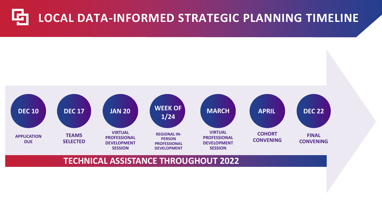#### œ **LOCAL DATA-INFORMED STRATEGIC PLANNING TIMELINE**



#### **TECHNICAL ASSISTANCE THROUGHOUT 2022**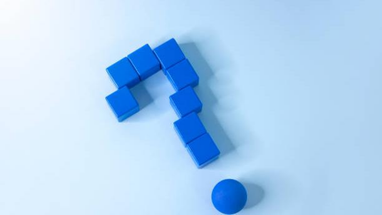